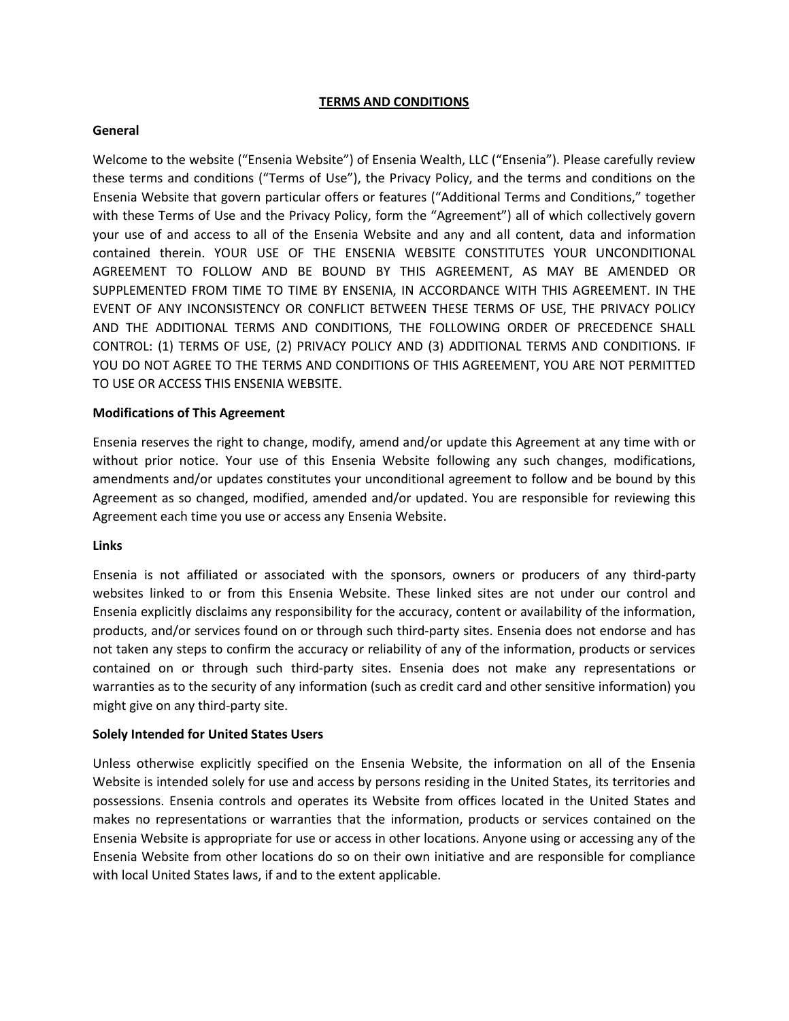# **TERMS AND CONDITIONS**

### **General**

Welcome to the website ("Ensenia Website") of Ensenia Wealth, LLC ("Ensenia"). Please carefully review these terms and conditions ("Terms of Use"), the Privacy Policy, and the terms and conditions on the Ensenia Website that govern particular offers or features ("Additional Terms and Conditions," together with these Terms of Use and the Privacy Policy, form the "Agreement") all of which collectively govern your use of and access to all of the Ensenia Website and any and all content, data and information contained therein. YOUR USE OF THE ENSENIA WEBSITE CONSTITUTES YOUR UNCONDITIONAL AGREEMENT TO FOLLOW AND BE BOUND BY THIS AGREEMENT, AS MAY BE AMENDED OR SUPPLEMENTED FROM TIME TO TIME BY ENSENIA, IN ACCORDANCE WITH THIS AGREEMENT. IN THE EVENT OF ANY INCONSISTENCY OR CONFLICT BETWEEN THESE TERMS OF USE, THE PRIVACY POLICY AND THE ADDITIONAL TERMS AND CONDITIONS, THE FOLLOWING ORDER OF PRECEDENCE SHALL CONTROL: (1) TERMS OF USE, (2) PRIVACY POLICY AND (3) ADDITIONAL TERMS AND CONDITIONS. IF YOU DO NOT AGREE TO THE TERMS AND CONDITIONS OF THIS AGREEMENT, YOU ARE NOT PERMITTED TO USE OR ACCESS THIS ENSENIA WEBSITE.

#### **Modifications of This Agreement**

Ensenia reserves the right to change, modify, amend and/or update this Agreement at any time with or without prior notice. Your use of this Ensenia Website following any such changes, modifications, amendments and/or updates constitutes your unconditional agreement to follow and be bound by this Agreement as so changed, modified, amended and/or updated. You are responsible for reviewing this Agreement each time you use or access any Ensenia Website.

#### **Links**

Ensenia is not affiliated or associated with the sponsors, owners or producers of any third-party websites linked to or from this Ensenia Website. These linked sites are not under our control and Ensenia explicitly disclaims any responsibility for the accuracy, content or availability of the information, products, and/or services found on or through such third-party sites. Ensenia does not endorse and has not taken any steps to confirm the accuracy or reliability of any of the information, products or services contained on or through such third-party sites. Ensenia does not make any representations or warranties as to the security of any information (such as credit card and other sensitive information) you might give on any third-party site.

# **Solely Intended for United States Users**

Unless otherwise explicitly specified on the Ensenia Website, the information on all of the Ensenia Website is intended solely for use and access by persons residing in the United States, its territories and possessions. Ensenia controls and operates its Website from offices located in the United States and makes no representations or warranties that the information, products or services contained on the Ensenia Website is appropriate for use or access in other locations. Anyone using or accessing any of the Ensenia Website from other locations do so on their own initiative and are responsible for compliance with local United States laws, if and to the extent applicable.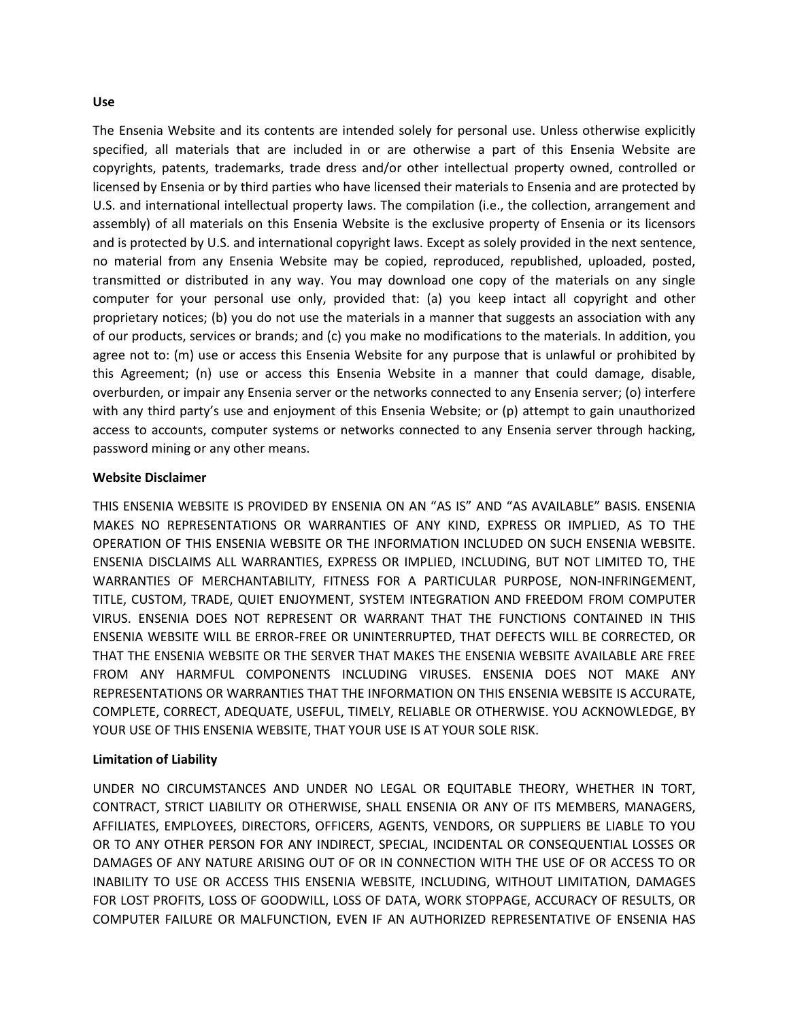#### **Use**

The Ensenia Website and its contents are intended solely for personal use. Unless otherwise explicitly specified, all materials that are included in or are otherwise a part of this Ensenia Website are copyrights, patents, trademarks, trade dress and/or other intellectual property owned, controlled or licensed by Ensenia or by third parties who have licensed their materials to Ensenia and are protected by U.S. and international intellectual property laws. The compilation (i.e., the collection, arrangement and assembly) of all materials on this Ensenia Website is the exclusive property of Ensenia or its licensors and is protected by U.S. and international copyright laws. Except as solely provided in the next sentence, no material from any Ensenia Website may be copied, reproduced, republished, uploaded, posted, transmitted or distributed in any way. You may download one copy of the materials on any single computer for your personal use only, provided that: (a) you keep intact all copyright and other proprietary notices; (b) you do not use the materials in a manner that suggests an association with any of our products, services or brands; and (c) you make no modifications to the materials. In addition, you agree not to: (m) use or access this Ensenia Website for any purpose that is unlawful or prohibited by this Agreement; (n) use or access this Ensenia Website in a manner that could damage, disable, overburden, or impair any Ensenia server or the networks connected to any Ensenia server; (o) interfere with any third party's use and enjoyment of this Ensenia Website; or (p) attempt to gain unauthorized access to accounts, computer systems or networks connected to any Ensenia server through hacking, password mining or any other means.

#### **Website Disclaimer**

THIS ENSENIA WEBSITE IS PROVIDED BY ENSENIA ON AN "AS IS" AND "AS AVAILABLE" BASIS. ENSENIA MAKES NO REPRESENTATIONS OR WARRANTIES OF ANY KIND, EXPRESS OR IMPLIED, AS TO THE OPERATION OF THIS ENSENIA WEBSITE OR THE INFORMATION INCLUDED ON SUCH ENSENIA WEBSITE. ENSENIA DISCLAIMS ALL WARRANTIES, EXPRESS OR IMPLIED, INCLUDING, BUT NOT LIMITED TO, THE WARRANTIES OF MERCHANTABILITY, FITNESS FOR A PARTICULAR PURPOSE, NON-INFRINGEMENT, TITLE, CUSTOM, TRADE, QUIET ENJOYMENT, SYSTEM INTEGRATION AND FREEDOM FROM COMPUTER VIRUS. ENSENIA DOES NOT REPRESENT OR WARRANT THAT THE FUNCTIONS CONTAINED IN THIS ENSENIA WEBSITE WILL BE ERROR-FREE OR UNINTERRUPTED, THAT DEFECTS WILL BE CORRECTED, OR THAT THE ENSENIA WEBSITE OR THE SERVER THAT MAKES THE ENSENIA WEBSITE AVAILABLE ARE FREE FROM ANY HARMFUL COMPONENTS INCLUDING VIRUSES. ENSENIA DOES NOT MAKE ANY REPRESENTATIONS OR WARRANTIES THAT THE INFORMATION ON THIS ENSENIA WEBSITE IS ACCURATE, COMPLETE, CORRECT, ADEQUATE, USEFUL, TIMELY, RELIABLE OR OTHERWISE. YOU ACKNOWLEDGE, BY YOUR USE OF THIS ENSENIA WEBSITE, THAT YOUR USE IS AT YOUR SOLE RISK.

# **Limitation of Liability**

UNDER NO CIRCUMSTANCES AND UNDER NO LEGAL OR EQUITABLE THEORY, WHETHER IN TORT, CONTRACT, STRICT LIABILITY OR OTHERWISE, SHALL ENSENIA OR ANY OF ITS MEMBERS, MANAGERS, AFFILIATES, EMPLOYEES, DIRECTORS, OFFICERS, AGENTS, VENDORS, OR SUPPLIERS BE LIABLE TO YOU OR TO ANY OTHER PERSON FOR ANY INDIRECT, SPECIAL, INCIDENTAL OR CONSEQUENTIAL LOSSES OR DAMAGES OF ANY NATURE ARISING OUT OF OR IN CONNECTION WITH THE USE OF OR ACCESS TO OR INABILITY TO USE OR ACCESS THIS ENSENIA WEBSITE, INCLUDING, WITHOUT LIMITATION, DAMAGES FOR LOST PROFITS, LOSS OF GOODWILL, LOSS OF DATA, WORK STOPPAGE, ACCURACY OF RESULTS, OR COMPUTER FAILURE OR MALFUNCTION, EVEN IF AN AUTHORIZED REPRESENTATIVE OF ENSENIA HAS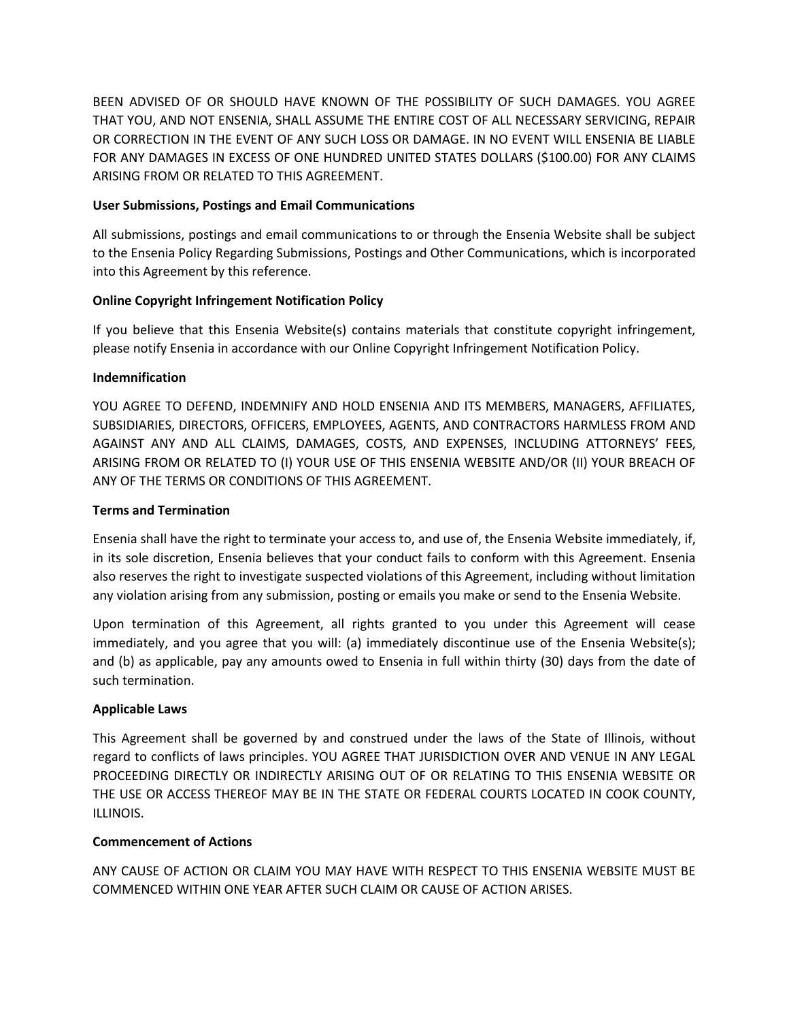BEEN ADVISED OF OR SHOULD HAVE KNOWN OF THE POSSIBILITY OF SUCH DAMAGES. YOU AGREE THAT YOU, AND NOT ENSENIA, SHALL ASSUME THE ENTIRE COST OF ALL NECESSARY SERVICING, REPAIR OR CORRECTION IN THE EVENT OF ANY SUCH LOSS OR DAMAGE. IN NO EVENT WILL ENSENIA BE LIABLE FOR ANY DAMAGES IN EXCESS OF ONE HUNDRED UNITED STATES DOLLARS (\$100.00) FOR ANY CLAIMS ARISING FROM OR RELATED TO THIS AGREEMENT.

# **User Submissions, Postings and Email Communications**

All submissions, postings and email communications to or through the Ensenia Website shall be subject to the Ensenia Policy Regarding Submissions, Postings and Other Communications, which is incorporated into this Agreement by this reference.

# **Online Copyright Infringement Notification Policy**

If you believe that this Ensenia Website(s) contains materials that constitute copyright infringement, please notify Ensenia in accordance with our Online Copyright Infringement Notification Policy.

# **Indemnification**

YOU AGREE TO DEFEND, INDEMNIFY AND HOLD ENSENIA AND ITS MEMBERS, MANAGERS, AFFILIATES, SUBSIDIARIES, DIRECTORS, OFFICERS, EMPLOYEES, AGENTS, AND CONTRACTORS HARMLESS FROM AND AGAINST ANY AND ALL CLAIMS, DAMAGES, COSTS, AND EXPENSES, INCLUDING ATTORNEYS' FEES, ARISING FROM OR RELATED TO (I) YOUR USE OF THIS ENSENIA WEBSITE AND/OR (II) YOUR BREACH OF ANY OF THE TERMS OR CONDITIONS OF THIS AGREEMENT.

# **Terms and Termination**

Ensenia shall have the right to terminate your access to, and use of, the Ensenia Website immediately, if, in its sole discretion, Ensenia believes that your conduct fails to conform with this Agreement. Ensenia also reserves the right to investigate suspected violations of this Agreement, including without limitation any violation arising from any submission, posting or emails you make or send to the Ensenia Website.

Upon termination of this Agreement, all rights granted to you under this Agreement will cease immediately, and you agree that you will: (a) immediately discontinue use of the Ensenia Website(s); and (b) as applicable, pay any amounts owed to Ensenia in full within thirty (30) days from the date of such termination.

# **Applicable Laws**

This Agreement shall be governed by and construed under the laws of the State of Illinois, without regard to conflicts of laws principles. YOU AGREE THAT JURISDICTION OVER AND VENUE IN ANY LEGAL PROCEEDING DIRECTLY OR INDIRECTLY ARISING OUT OF OR RELATING TO THIS ENSENIA WEBSITE OR THE USE OR ACCESS THEREOF MAY BE IN THE STATE OR FEDERAL COURTS LOCATED IN COOK COUNTY, ILLINOIS.

# **Commencement of Actions**

ANY CAUSE OF ACTION OR CLAIM YOU MAY HAVE WITH RESPECT TO THIS ENSENIA WEBSITE MUST BE COMMENCED WITHIN ONE YEAR AFTER SUCH CLAIM OR CAUSE OF ACTION ARISES.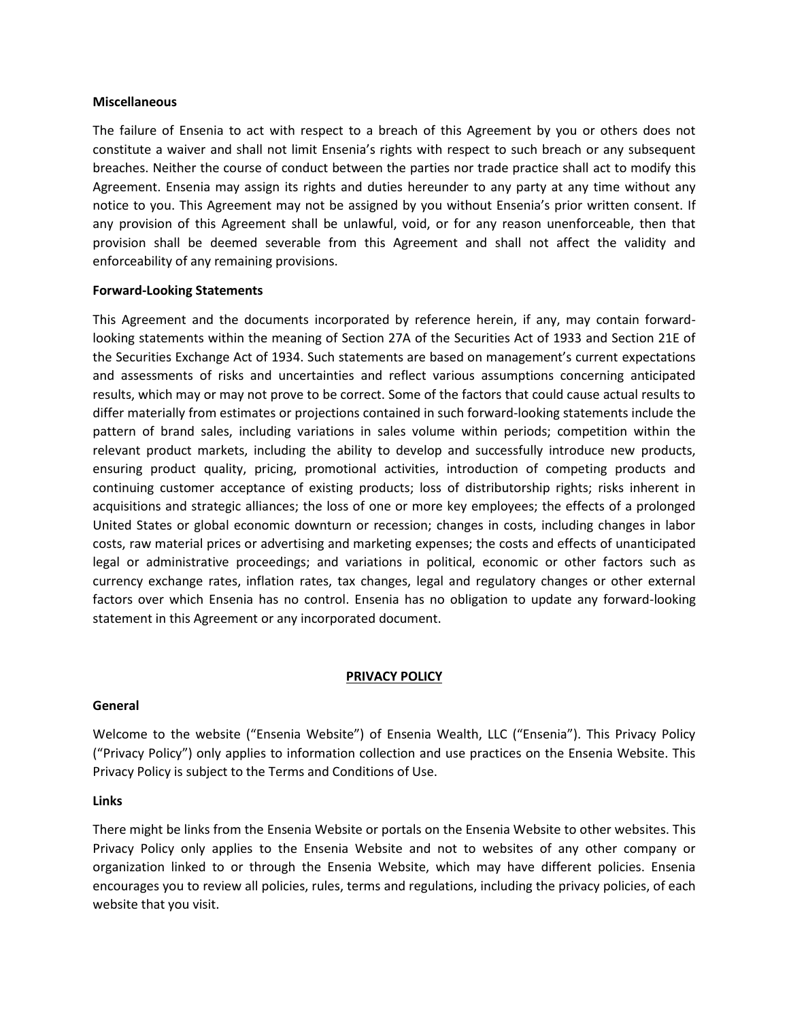#### **Miscellaneous**

The failure of Ensenia to act with respect to a breach of this Agreement by you or others does not constitute a waiver and shall not limit Ensenia's rights with respect to such breach or any subsequent breaches. Neither the course of conduct between the parties nor trade practice shall act to modify this Agreement. Ensenia may assign its rights and duties hereunder to any party at any time without any notice to you. This Agreement may not be assigned by you without Ensenia's prior written consent. If any provision of this Agreement shall be unlawful, void, or for any reason unenforceable, then that provision shall be deemed severable from this Agreement and shall not affect the validity and enforceability of any remaining provisions.

#### **Forward-Looking Statements**

This Agreement and the documents incorporated by reference herein, if any, may contain forwardlooking statements within the meaning of Section 27A of the Securities Act of 1933 and Section 21E of the Securities Exchange Act of 1934. Such statements are based on management's current expectations and assessments of risks and uncertainties and reflect various assumptions concerning anticipated results, which may or may not prove to be correct. Some of the factors that could cause actual results to differ materially from estimates or projections contained in such forward-looking statements include the pattern of brand sales, including variations in sales volume within periods; competition within the relevant product markets, including the ability to develop and successfully introduce new products, ensuring product quality, pricing, promotional activities, introduction of competing products and continuing customer acceptance of existing products; loss of distributorship rights; risks inherent in acquisitions and strategic alliances; the loss of one or more key employees; the effects of a prolonged United States or global economic downturn or recession; changes in costs, including changes in labor costs, raw material prices or advertising and marketing expenses; the costs and effects of unanticipated legal or administrative proceedings; and variations in political, economic or other factors such as currency exchange rates, inflation rates, tax changes, legal and regulatory changes or other external factors over which Ensenia has no control. Ensenia has no obligation to update any forward-looking statement in this Agreement or any incorporated document.

# **PRIVACY POLICY**

#### **General**

Welcome to the website ("Ensenia Website") of Ensenia Wealth, LLC ("Ensenia"). This Privacy Policy ("Privacy Policy") only applies to information collection and use practices on the Ensenia Website. This Privacy Policy is subject to the Terms and Conditions of Use.

#### **Links**

There might be links from the Ensenia Website or portals on the Ensenia Website to other websites. This Privacy Policy only applies to the Ensenia Website and not to websites of any other company or organization linked to or through the Ensenia Website, which may have different policies. Ensenia encourages you to review all policies, rules, terms and regulations, including the privacy policies, of each website that you visit.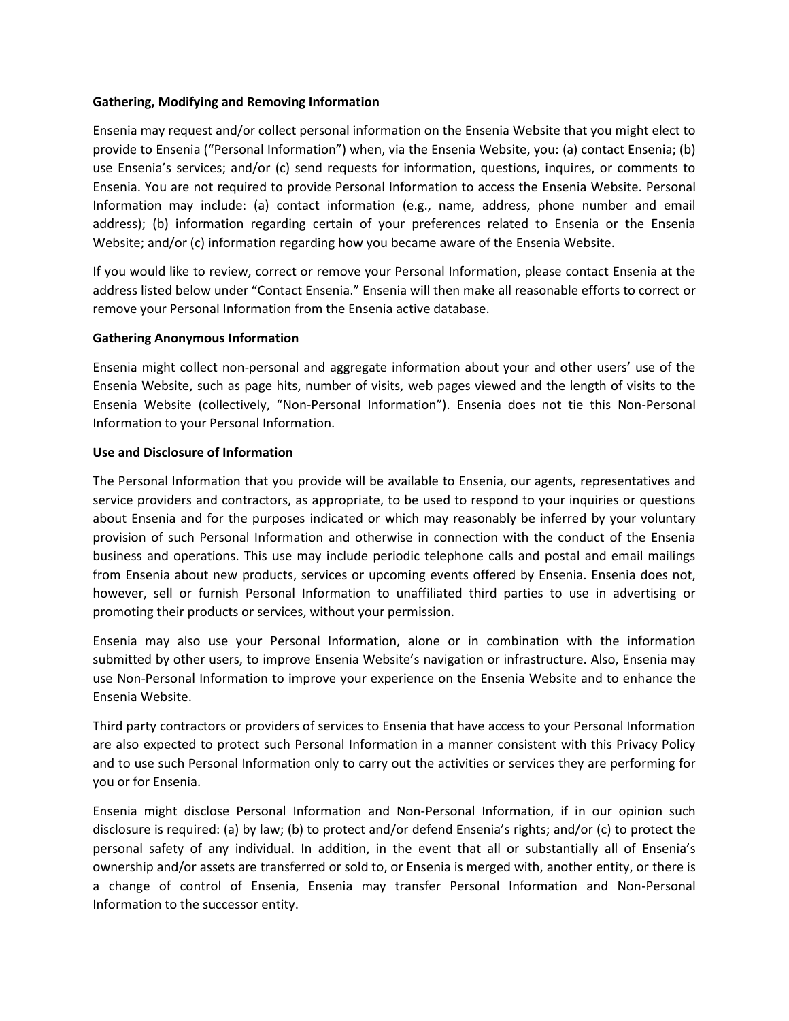### **Gathering, Modifying and Removing Information**

Ensenia may request and/or collect personal information on the Ensenia Website that you might elect to provide to Ensenia ("Personal Information") when, via the Ensenia Website, you: (a) contact Ensenia; (b) use Ensenia's services; and/or (c) send requests for information, questions, inquires, or comments to Ensenia. You are not required to provide Personal Information to access the Ensenia Website. Personal Information may include: (a) contact information (e.g., name, address, phone number and email address); (b) information regarding certain of your preferences related to Ensenia or the Ensenia Website; and/or (c) information regarding how you became aware of the Ensenia Website.

If you would like to review, correct or remove your Personal Information, please contact Ensenia at the address listed below under "Contact Ensenia." Ensenia will then make all reasonable efforts to correct or remove your Personal Information from the Ensenia active database.

#### **Gathering Anonymous Information**

Ensenia might collect non-personal and aggregate information about your and other users' use of the Ensenia Website, such as page hits, number of visits, web pages viewed and the length of visits to the Ensenia Website (collectively, "Non-Personal Information"). Ensenia does not tie this Non-Personal Information to your Personal Information.

#### **Use and Disclosure of Information**

The Personal Information that you provide will be available to Ensenia, our agents, representatives and service providers and contractors, as appropriate, to be used to respond to your inquiries or questions about Ensenia and for the purposes indicated or which may reasonably be inferred by your voluntary provision of such Personal Information and otherwise in connection with the conduct of the Ensenia business and operations. This use may include periodic telephone calls and postal and email mailings from Ensenia about new products, services or upcoming events offered by Ensenia. Ensenia does not, however, sell or furnish Personal Information to unaffiliated third parties to use in advertising or promoting their products or services, without your permission.

Ensenia may also use your Personal Information, alone or in combination with the information submitted by other users, to improve Ensenia Website's navigation or infrastructure. Also, Ensenia may use Non-Personal Information to improve your experience on the Ensenia Website and to enhance the Ensenia Website.

Third party contractors or providers of services to Ensenia that have access to your Personal Information are also expected to protect such Personal Information in a manner consistent with this Privacy Policy and to use such Personal Information only to carry out the activities or services they are performing for you or for Ensenia.

Ensenia might disclose Personal Information and Non-Personal Information, if in our opinion such disclosure is required: (a) by law; (b) to protect and/or defend Ensenia's rights; and/or (c) to protect the personal safety of any individual. In addition, in the event that all or substantially all of Ensenia's ownership and/or assets are transferred or sold to, or Ensenia is merged with, another entity, or there is a change of control of Ensenia, Ensenia may transfer Personal Information and Non-Personal Information to the successor entity.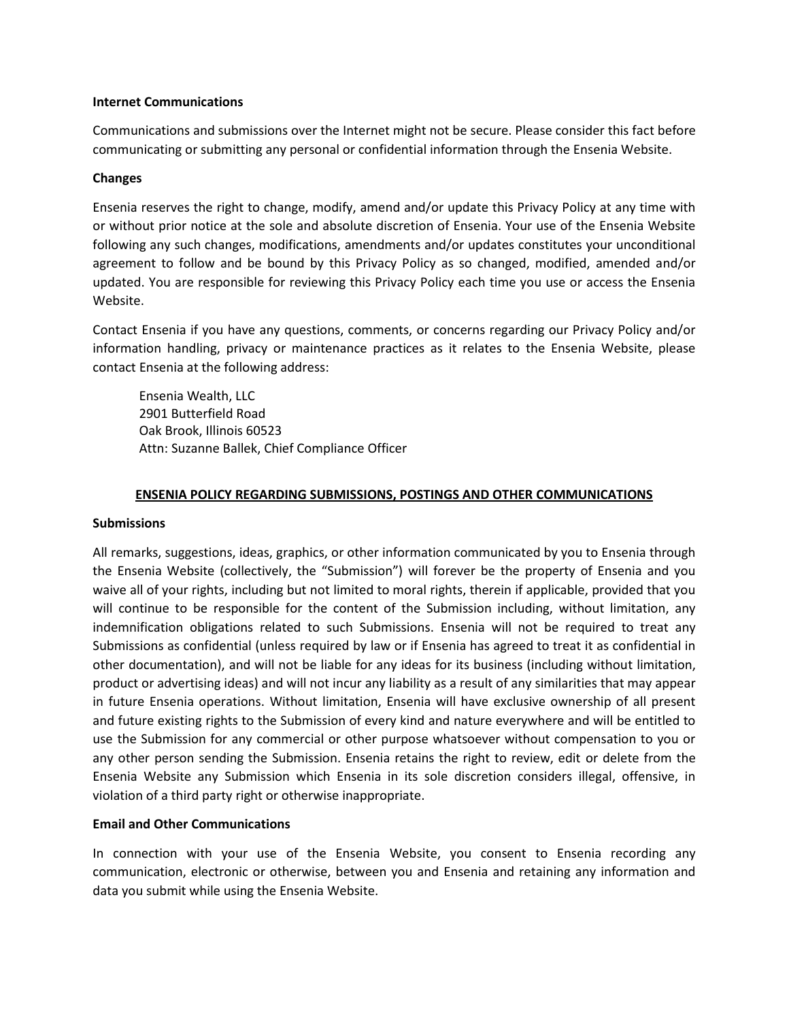#### **Internet Communications**

Communications and submissions over the Internet might not be secure. Please consider this fact before communicating or submitting any personal or confidential information through the Ensenia Website.

### **Changes**

Ensenia reserves the right to change, modify, amend and/or update this Privacy Policy at any time with or without prior notice at the sole and absolute discretion of Ensenia. Your use of the Ensenia Website following any such changes, modifications, amendments and/or updates constitutes your unconditional agreement to follow and be bound by this Privacy Policy as so changed, modified, amended and/or updated. You are responsible for reviewing this Privacy Policy each time you use or access the Ensenia Website.

Contact Ensenia if you have any questions, comments, or concerns regarding our Privacy Policy and/or information handling, privacy or maintenance practices as it relates to the Ensenia Website, please contact Ensenia at the following address:

Ensenia Wealth, LLC 2901 Butterfield Road Oak Brook, Illinois 60523 Attn: Suzanne Ballek, Chief Compliance Officer

# **ENSENIA POLICY REGARDING SUBMISSIONS, POSTINGS AND OTHER COMMUNICATIONS**

#### **Submissions**

All remarks, suggestions, ideas, graphics, or other information communicated by you to Ensenia through the Ensenia Website (collectively, the "Submission") will forever be the property of Ensenia and you waive all of your rights, including but not limited to moral rights, therein if applicable, provided that you will continue to be responsible for the content of the Submission including, without limitation, any indemnification obligations related to such Submissions. Ensenia will not be required to treat any Submissions as confidential (unless required by law or if Ensenia has agreed to treat it as confidential in other documentation), and will not be liable for any ideas for its business (including without limitation, product or advertising ideas) and will not incur any liability as a result of any similarities that may appear in future Ensenia operations. Without limitation, Ensenia will have exclusive ownership of all present and future existing rights to the Submission of every kind and nature everywhere and will be entitled to use the Submission for any commercial or other purpose whatsoever without compensation to you or any other person sending the Submission. Ensenia retains the right to review, edit or delete from the Ensenia Website any Submission which Ensenia in its sole discretion considers illegal, offensive, in violation of a third party right or otherwise inappropriate.

# **Email and Other Communications**

In connection with your use of the Ensenia Website, you consent to Ensenia recording any communication, electronic or otherwise, between you and Ensenia and retaining any information and data you submit while using the Ensenia Website.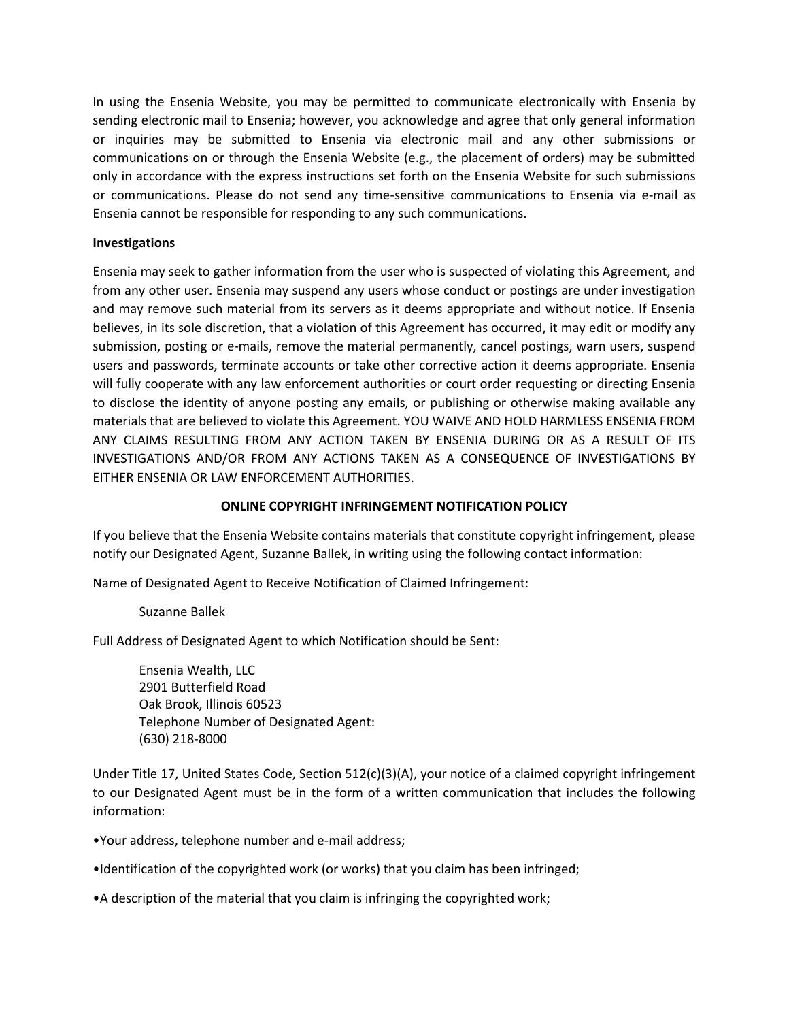In using the Ensenia Website, you may be permitted to communicate electronically with Ensenia by sending electronic mail to Ensenia; however, you acknowledge and agree that only general information or inquiries may be submitted to Ensenia via electronic mail and any other submissions or communications on or through the Ensenia Website (e.g., the placement of orders) may be submitted only in accordance with the express instructions set forth on the Ensenia Website for such submissions or communications. Please do not send any time-sensitive communications to Ensenia via e-mail as Ensenia cannot be responsible for responding to any such communications.

# **Investigations**

Ensenia may seek to gather information from the user who is suspected of violating this Agreement, and from any other user. Ensenia may suspend any users whose conduct or postings are under investigation and may remove such material from its servers as it deems appropriate and without notice. If Ensenia believes, in its sole discretion, that a violation of this Agreement has occurred, it may edit or modify any submission, posting or e-mails, remove the material permanently, cancel postings, warn users, suspend users and passwords, terminate accounts or take other corrective action it deems appropriate. Ensenia will fully cooperate with any law enforcement authorities or court order requesting or directing Ensenia to disclose the identity of anyone posting any emails, or publishing or otherwise making available any materials that are believed to violate this Agreement. YOU WAIVE AND HOLD HARMLESS ENSENIA FROM ANY CLAIMS RESULTING FROM ANY ACTION TAKEN BY ENSENIA DURING OR AS A RESULT OF ITS INVESTIGATIONS AND/OR FROM ANY ACTIONS TAKEN AS A CONSEQUENCE OF INVESTIGATIONS BY EITHER ENSENIA OR LAW ENFORCEMENT AUTHORITIES.

# **ONLINE COPYRIGHT INFRINGEMENT NOTIFICATION POLICY**

If you believe that the Ensenia Website contains materials that constitute copyright infringement, please notify our Designated Agent, Suzanne Ballek, in writing using the following contact information:

Name of Designated Agent to Receive Notification of Claimed Infringement:

# Suzanne Ballek

Full Address of Designated Agent to which Notification should be Sent:

Ensenia Wealth, LLC 2901 Butterfield Road Oak Brook, Illinois 60523 Telephone Number of Designated Agent: (630) 218-8000

Under Title 17, United States Code, Section 512(c)(3)(A), your notice of a claimed copyright infringement to our Designated Agent must be in the form of a written communication that includes the following information:

•Your address, telephone number and e-mail address;

•Identification of the copyrighted work (or works) that you claim has been infringed;

•A description of the material that you claim is infringing the copyrighted work;